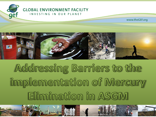



# Addressing Barriers to the implementation of Mercury Elimination in ASGM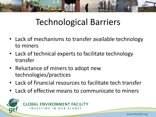

### Technological Barriers

- Lack of mechanisms to transfer available technology to miners
- Lack of technical experts to facilitate technology transfer
- Reluctance of miners to adopt new technologies/practices
- Lack of financial resources to facilitate tech transfer
- Lack of effective means to communicate to miners

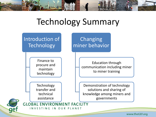

#### Technology Summary



www.theGEF.org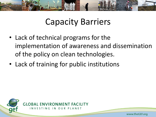

#### Capacity Barriers

- Lack of technical programs for the implementation of awareness and dissemination of the policy on clean technologies.
- Lack of training for public institutions



www.theGEF.org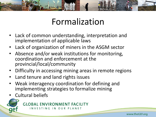

### Formalization

- Lack of common understanding, interpretation and implementation of applicable laws
- Lack of organization of miners in the ASGM sector
- Absence and/or weak institutions for monitoring, coordination and enforcement at the provincial/local/community
- Difficulty in accessing mining areas in remote regions
- Land tenure and land rights issues
- Weak interagency coordination for defining and implementing strategies to formalize mining
- Cultural beliefs



**GLOBAL ENVIRONMENT FACILITY** INVESTING IN OUR PLANET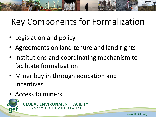## Key Components for Formalization

- Legislation and policy
- Agreements on land tenure and land rights
- Institutions and coordinating mechanism to facilitate formalization
- Miner buy in through education and incentives
- Access to miners

**GLOBAL ENVIRONMENT FACILITY** INVESTING IN OUR PLANET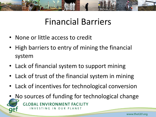

#### Financial Barriers

- None or little access to credit
- High barriers to entry of mining the financial system
- Lack of financial system to support mining
- Lack of trust of the financial system in mining
- Lack of incentives for technological conversion
- No sources of funding for technological change **GLOBAL ENVIRONMENT FACILITY** INVESTING IN OUR PLANET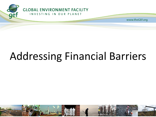

www.theGEF.org

# Addressing Financial Barriers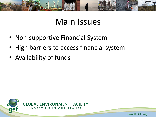

#### Main Issues

- Non-supportive Financial System
- High barriers to access financial system
- Availability of funds



www.theGEF.org